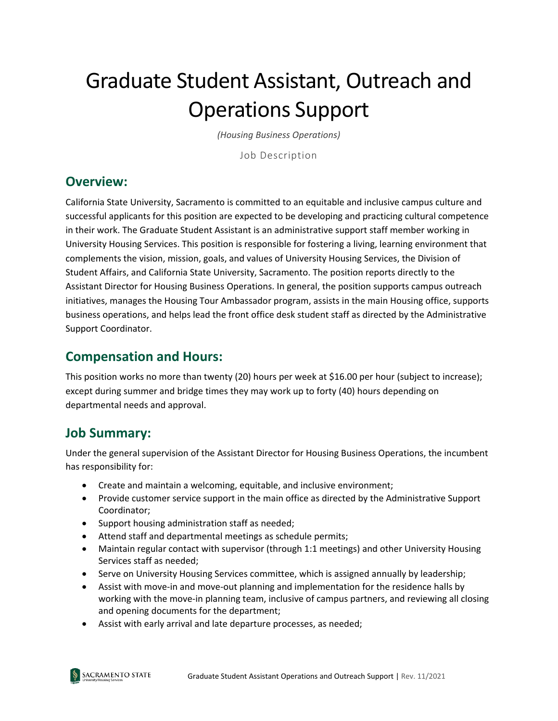# Graduate Student Assistant, Outreach and Operations Support

*(Housing Business Operations)*

Job Description

#### **Overview:**

California State University, Sacramento is committed to an equitable and inclusive campus culture and successful applicants for this position are expected to be developing and practicing cultural competence in their work. The Graduate Student Assistant is an administrative support staff member working in University Housing Services. This position is responsible for fostering a living, learning environment that complements the vision, mission, goals, and values of University Housing Services, the Division of Student Affairs, and California State University, Sacramento. The position reports directly to the Assistant Director for Housing Business Operations. In general, the position supports campus outreach initiatives, manages the Housing Tour Ambassador program, assists in the main Housing office, supports business operations, and helps lead the front office desk student staff as directed by the Administrative Support Coordinator.

#### **Compensation and Hours:**

This position works no more than twenty (20) hours per week at \$16.00 per hour (subject to increase); except during summer and bridge times they may work up to forty (40) hours depending on departmental needs and approval.

#### **Job Summary:**

Under the general supervision of the Assistant Director for Housing Business Operations, the incumbent has responsibility for:

- Create and maintain a welcoming, equitable, and inclusive environment;
- Provide customer service support in the main office as directed by the Administrative Support Coordinator;
- Support housing administration staff as needed;
- Attend staff and departmental meetings as schedule permits;
- Maintain regular contact with supervisor (through 1:1 meetings) and other University Housing Services staff as needed;
- Serve on University Housing Services committee, which is assigned annually by leadership;
- Assist with move-in and move-out planning and implementation for the residence halls by working with the move-in planning team, inclusive of campus partners, and reviewing all closing and opening documents for the department;
- Assist with early arrival and late departure processes, as needed;

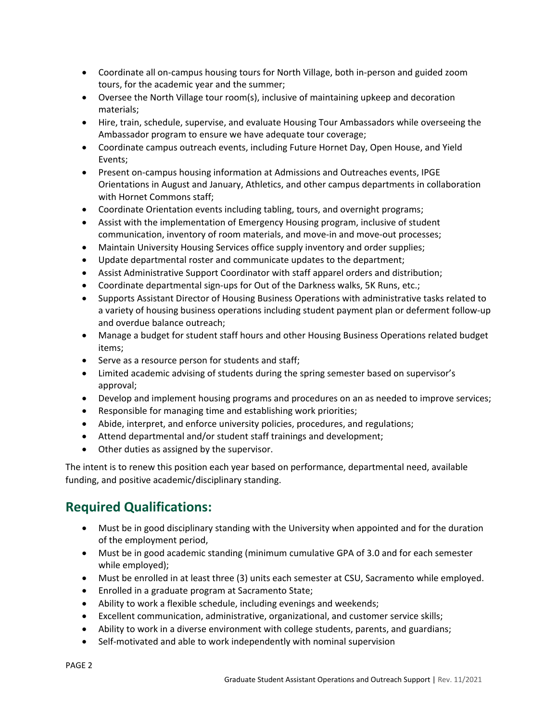- Coordinate all on-campus housing tours for North Village, both in-person and guided zoom tours, for the academic year and the summer;
- Oversee the North Village tour room(s), inclusive of maintaining upkeep and decoration materials;
- Hire, train, schedule, supervise, and evaluate Housing Tour Ambassadors while overseeing the Ambassador program to ensure we have adequate tour coverage;
- Coordinate campus outreach events, including Future Hornet Day, Open House, and Yield Events;
- Present on-campus housing information at Admissions and Outreaches events, IPGE Orientations in August and January, Athletics, and other campus departments in collaboration with Hornet Commons staff;
- Coordinate Orientation events including tabling, tours, and overnight programs;
- Assist with the implementation of Emergency Housing program, inclusive of student communication, inventory of room materials, and move-in and move-out processes;
- Maintain University Housing Services office supply inventory and order supplies;
- Update departmental roster and communicate updates to the department;
- Assist Administrative Support Coordinator with staff apparel orders and distribution;
- Coordinate departmental sign-ups for Out of the Darkness walks, 5K Runs, etc.;
- Supports Assistant Director of Housing Business Operations with administrative tasks related to a variety of housing business operations including student payment plan or deferment follow-up and overdue balance outreach;
- Manage a budget for student staff hours and other Housing Business Operations related budget items;
- Serve as a resource person for students and staff;
- Limited academic advising of students during the spring semester based on supervisor's approval;
- Develop and implement housing programs and procedures on an as needed to improve services;
- Responsible for managing time and establishing work priorities;
- Abide, interpret, and enforce university policies, procedures, and regulations;
- Attend departmental and/or student staff trainings and development;
- Other duties as assigned by the supervisor.

The intent is to renew this position each year based on performance, departmental need, available funding, and positive academic/disciplinary standing.

## **Required Qualifications:**

- Must be in good disciplinary standing with the University when appointed and for the duration of the employment period,
- Must be in good academic standing (minimum cumulative GPA of 3.0 and for each semester while employed);
- Must be enrolled in at least three (3) units each semester at CSU, Sacramento while employed.
- Enrolled in a graduate program at Sacramento State;
- Ability to work a flexible schedule, including evenings and weekends;
- Excellent communication, administrative, organizational, and customer service skills;
- Ability to work in a diverse environment with college students, parents, and guardians;
- Self-motivated and able to work independently with nominal supervision